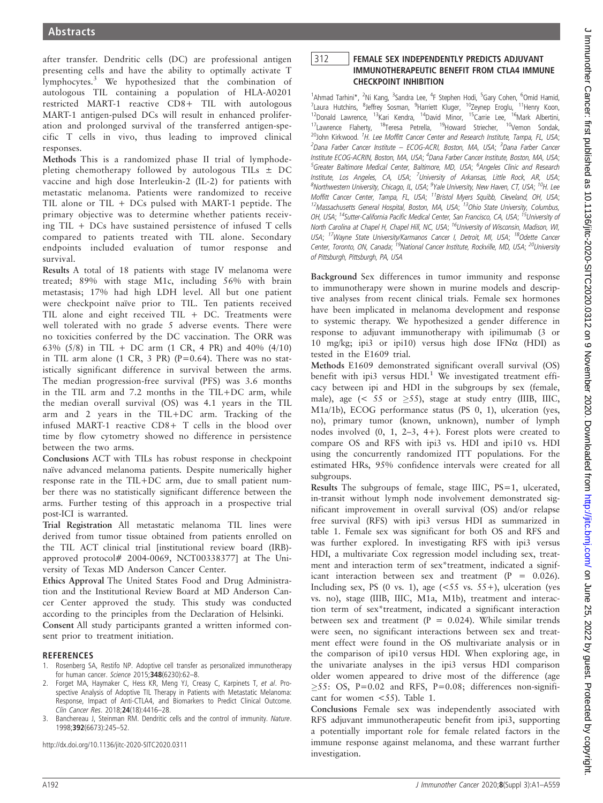after transfer. Dendritic cells (DC) are professional antigen presenting cells and have the ability to optimally activate T lymphocytes.<sup>3</sup> We hypothesized that the combination of autologous TIL containing a population of HLA-A0201 restricted MART-1 reactive CD8+ TIL with autologous MART-1 antigen-pulsed DCs will result in enhanced proliferation and prolonged survival of the transferred antigen-specific T cells in vivo, thus leading to improved clinical responses.

Methods This is a randomized phase II trial of lymphodepleting chemotherapy followed by autologous TILs  $\pm$  DC vaccine and high dose Interleukin-2 (IL-2) for patients with metastatic melanoma. Patients were randomized to receive TIL alone or TIL + DCs pulsed with MART-1 peptide. The primary objective was to determine whether patients receiving TIL + DCs have sustained persistence of infused T cells compared to patients treated with TIL alone. Secondary endpoints included evaluation of tumor response and survival.

Results A total of 18 patients with stage IV melanoma were treated; 89% with stage M1c, including 56% with brain metastasis; 17% had high LDH level. All but one patient were checkpoint naïve prior to TIL. Ten patients received TIL alone and eight received TIL + DC. Treatments were well tolerated with no grade 5 adverse events. There were no toxicities conferred by the DC vaccination. The ORR was 63% (5/8) in TIL + DC arm (1 CR, 4 PR) and 40% (4/10) in TIL arm alone (1 CR, 3 PR) ( $P=0.64$ ). There was no statistically significant difference in survival between the arms. The median progression-free survival (PFS) was 3.6 months in the TIL arm and 7.2 months in the TIL+DC arm, while the median overall survival (OS) was 4.1 years in the TIL arm and 2 years in the TIL+DC arm. Tracking of the infused MART-1 reactive CD8+ T cells in the blood over time by flow cytometry showed no difference in persistence between the two arms.

Conclusions ACT with TILs has robust response in checkpoint naïve advanced melanoma patients. Despite numerically higher response rate in the TIL+DC arm, due to small patient number there was no statistically significant difference between the arms. Further testing of this approach in a prospective trial post-ICI is warranted.

Trial Registration All metastatic melanoma TIL lines were derived from tumor tissue obtained from patients enrolled on the TIL ACT clinical trial [institutional review board (IRB) approved protocol# 2004-0069, NCT00338377] at The University of Texas MD Anderson Cancer Center.

Ethics Approval The United States Food and Drug Administration and the Institutional Review Board at MD Anderson Cancer Center approved the study. This study was conducted according to the principles from the Declaration of Helsinki.

Consent All study participants granted a written informed consent prior to treatment initiation.

- 1. Rosenberg SA, Restifo NP. Adoptive cell transfer as personalized immunotherapy for human cancer. Science 2015;348(6230):62–8.
- 2. Forget MA, Haymaker C, Hess KR, Meng YJ, Creasy C, Karpinets T, et al. Prospective Analysis of Adoptive TIL Therapy in Patients with Metastatic Melanoma: Response, Impact of Anti-CTLA4, and Biomarkers to Predict Clinical Outcome. Clin Cancer Res. 2018;24(18):4416–28.
- 3. Banchereau J, Steinman RM. Dendritic cells and the control of immunity. Nature. 1998;392(6673):245–52.

http://dx.doi.org/10.1136/jitc-2020-SITC2020.0311

# <sup>312</sup> FEMALE SEX INDEPENDENTLY PREDICTS ADJUVANT **CHECKPOINT INHIBITION**

<sup>1</sup>Ahmad Tarhini\*, <sup>2</sup>Ni Kang, <sup>3</sup>Sandra Lee, <sup>4</sup>F Stephen Hodi, <sup>5</sup>Gary Cohen, <sup>6</sup>Omid Hamid, <sup>7</sup>Laura Hutchins, <sup>8</sup>Jeffrey Sosman, <sup>9</sup>Harriett Kluger, <sup>10</sup>Zeynep Eroglu, <sup>11</sup>Henry Koon, <sup>12</sup>Donald Lawrence, <sup>13</sup>Kari Kendra, <sup>14</sup>David Minor, <sup>15</sup>Carrie Lee, <sup>16</sup>Mark Albertini, <sup>17</sup>Lawrence Flaherty, <sup>18</sup>Teresa Petrella, <sup>19</sup>Howard Striecher, <sup>10</sup>Vernon Sondak, <sup>20</sup>John Kirkwood. <sup>1</sup>H. Lee Moffitt Cancer Center and Research Institute, Tampa, FL, USA; <sup>2</sup>Dana Farber Cancer Institute – ECOG-ACRI, Boston, MA, USA; <sup>3</sup>Dana Farber Cancer Institute ECOG-ACRIN, Boston, MA, USA; <sup>4</sup>Dana Farber Cancer Institute, Boston, MA, USA; <sup>5</sup>Greater Baltimore Medical Center, Baltimore, MD, USA; <sup>6</sup>Angeles Clinic and Research Institute, Los Angeles, CA, USA; <sup>7</sup>University of Arkansas, Little Rock, AR, USA; <sup>8</sup>Northwestern University, Chicago, IL, USA; <sup>9</sup>Yale University, New Haven, CT, USA; <sup>10</sup>H. Lee Moffitt Cancer Center, Tampa, FL, USA; <sup>11</sup>Bristol Myers Squibb, Cleveland, OH, USA;  $12$ Massachusetts General Hospital, Boston, MA, USA;  $13$ Ohio State University, Columbus, OH, USA; <sup>14</sup>Sutter-California Pacific Medical Center, San Francisco, CA, USA; <sup>15</sup>University of North Carolina at Chapel H, Chapel Hill, NC, USA; <sup>16</sup>University of Wisconsin, Madison, WI, USA; <sup>17</sup>Wayne State University/Karmanos Cancer I, Detroit, MI, USA; <sup>18</sup>Odette Cancer Center, Toronto, ON, Canada; <sup>19</sup>National Cancer Institute, Rockville, MD, USA; <sup>20</sup>University of Pittsburgh, Pittsburgh, PA, USA

Background Sex differences in tumor immunity and response to immunotherapy were shown in murine models and descriptive analyses from recent clinical trials. Female sex hormones have been implicated in melanoma development and response to systemic therapy. We hypothesized a gender difference in response to adjuvant immunotherapy with ipilimumab (3 or 10 mg/kg; ipi3 or ipi10) versus high dose IFN $\alpha$  (HDI) as tested in the E1609 trial.

Methods E1609 demonstrated significant overall survival (OS) benefit with ipi3 versus  $HDI.$ <sup>1</sup> We investigated treatment efficacy between ipi and HDI in the subgroups by sex (female, male), age (< 55 or  $\geq$ 55), stage at study entry (IIIB, IIIC, M1a/1b), ECOG performance status (PS 0, 1), ulceration (yes, no), primary tumor (known, unknown), number of lymph nodes involved (0, 1, 2–3, 4+). Forest plots were created to compare OS and RFS with ipi3 vs. HDI and ipi10 vs. HDI using the concurrently randomized ITT populations. For the estimated HRs, 95% confidence intervals were created for all subgroups.

Results The subgroups of female, stage IIIC, PS=1, ulcerated, in-transit without lymph node involvement demonstrated significant improvement in overall survival (OS) and/or relapse free survival (RFS) with ipi3 versus HDI as summarized in table 1. Female sex was significant for both OS and RFS and was further explored. In investigating RFS with ipi3 versus HDI, a multivariate Cox regression model including sex, treatment and interaction term of sex\*treatment, indicated a significant interaction between sex and treatment (P = 0.026). Including sex, PS (0 vs. 1), age  $(<55$  vs.  $55+$ ), ulceration (yes vs. no), stage (IIIB, IIIC, M1a, M1b), treatment and interaction term of sex\*treatment, indicated a significant interaction between sex and treatment ( $P = 0.024$ ). While similar trends were seen, no significant interactions between sex and treatment effect were found in the OS multivariate analysis or in the comparison of ipi10 versus HDI. When exploring age, in the univariate analyses in the ipi3 versus HDI comparison older women appeared to drive most of the difference (age  $\geq$ 55: OS, P=0.02 and RFS, P=0.08; differences non-significant for women <55). Table 1.

Conclusions Female sex was independently associated with RFS adjuvant immunotherapeutic benefit from ipi3, supporting a potentially important role for female related factors in the immune response against melanoma, and these warrant further investigation.